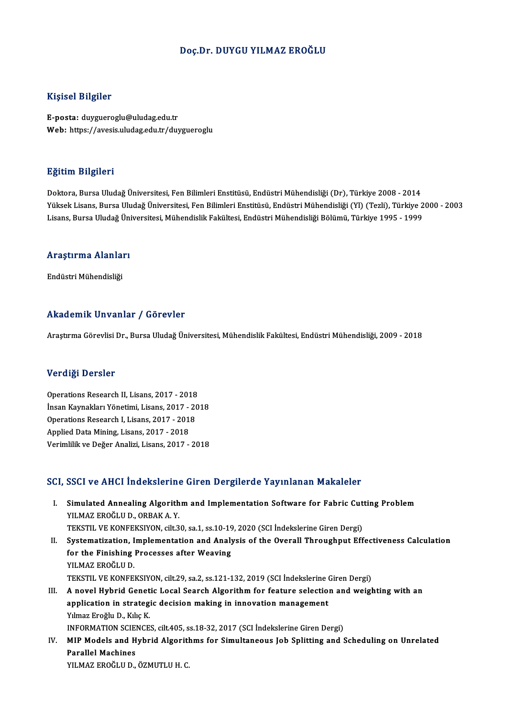#### Doç.Dr. DUYGU YILMAZ EROĞLU

#### Kişisel Bilgiler

E-posta: duygueroglu@uludag.edu.tr Web: https://avesis.uludag.edu.tr/duygueroglu

#### Eğitim Bilgileri

Doktora, Bursa Uludağ Üniversitesi, Fen Bilimleri Enstitüsü, Endüstri Mühendisliği (Dr), Türkiye 2008 - 2014 Yüksek Lisans, Bursa Uludağ Üniversitesi, Fen Bilimleri Enstitüsü, Endüstri Mühendisliği (Yl) (Tezli), Türkiye 2000 - 2003 Lisans, Bursa Uludağ Üniversitesi, Mühendislik Fakültesi, Endüstri Mühendisliği Bölümü, Türkiye 1995 - 1999

## Lısans, bursa oludag onl<br>Araştırma Alanları <mark>Araştırma Alanla</mark>ı<br>Endüstri Mühendisliği

# Endüstri Mühendisliği<br>Akademik Unvanlar / Görevler

Araştırma Görevlisi Dr., Bursa Uludağ Üniversitesi, Mühendislik Fakültesi, Endüstri Mühendisliği, 2009 - 2018

#### Verdiği Dersler

<mark>Verdiği Dersler</mark><br>Operations Research II, Lisans, 2017 - 2018<br>İnsan Kaunakları Yönetimi Lisans, 2017 - 20 İnsan Kaynakları Yönetimi, Lisans, 2017 - 2018<br>Operations Research I, Lisans, 2017 - 2018 Operations Research II, Lisans, 2017 - 2018<br>İnsan Kaynakları Yönetimi, Lisans, 2017 - 20<br>Operations Research I, Lisans, 2017 - 2018<br>Annlied Dete Mining Lisans, 2017 - 2018 Applied Data Mining, Lisans, 2017 - 2018 VerimlilikveDeğerAnalizi,Lisans,2017 -2018

#### SCI, SSCI ve AHCI İndekslerine Giren Dergilerde Yayınlanan Makaleler

CI, SSCI ve AHCI İndekslerine Giren Dergilerde Yayınlanan Makaleler<br>I. Simulated Annealing Algorithm and Implementation Software for Fabric Cutting Problem<br>VII MAZ EROČLU D. ORRAKA V SOOT VOTINGT INGENDICITIES<br>Simulated Annealing Algorith<br>YILMAZ EROĞLU D., ORBAK A. Y.<br>TEKSTIL VE KONEEKSIVON Gilt 2 Simulated Annealing Algorithm and Implementation Software for Fabric Cut<br>YILMAZ EROĞLU D., ORBAK A. Y.<br>TEKSTIL VE KONFEKSIYON, cilt.30, sa.1, ss.10-19, 2020 (SCI İndekslerine Giren Dergi)<br>Systematization, İmplementation an IILMAZ EROĞLU D., ORBAK A. Y.<br>TEKSTIL VE KONFEKSIYON, cilt.30, sa.1, ss.10-19, 2020 (SCI İndekslerine Giren Dergi)<br>II. Systematization, Implementation and Analysis of the Overall Throughput Effectiveness Calculation TEKSTIL VE KONFEKSIYON, cilt.30, sa.1, ss.10-19<br>Systematization, Implementation and Analy<br>for the Finishing Processes after Weaving<br>VII MAZ EROČLILD **Systematization, I<br>for the Finishing<br>YILMAZ EROĞLU D.<br>TEKSTIL VE KONEE** YILMAZ EROĞLU D.<br>TEKSTIL VE KONFEKSIYON, cilt.29, sa.2, ss.121-132, 2019 (SCI İndekslerine Giren Dergi) YILMAZ EROĞLU D.<br>TEKSTIL VE KONFEKSIYON, cilt.29, sa.2, ss.121-132, 2019 (SCI İndekslerine Giren Dergi)<br>III. A novel Hybrid Genetic Local Search Algorithm for feature selection and weighting with an<br>annisation in strat TEKSTIL VE KONFEKSIYON, cilt.29, sa.2, ss.121-132, 2019 (SCI İndekslerine (<br>A novel Hybrid Genetic Local Search Algorithm for feature selectio:<br>application in strategic decision making in innovation management<br>Vilmes Freğl **A novel Hybrid Genet<br>application in strateg**<br>Yılmaz Eroğlu D., Kılıç K.<br>INEOPMATION SCIENCE application in strategic decision making in innovation management<br>Informaz Eroğlu D., Kılıç K.<br>INFORMATION SCIENCES, cilt.405, ss.18-32, 2017 (SCI İndekslerine Giren Dergi)<br>MIR Medels and Hybrid Alsonithms for Simultaneous Yılmaz Eroğlu D., Kılıç K.<br>INFORMATION SCIENCES, cilt.405, ss.18-32, 2017 (SCI İndekslerine Giren Dergi)<br>IV. MIP Models and Hybrid Algorithms for Simultaneous Job Splitting and Scheduling on Unrelated<br>Parallel Machines INFORMATION SCIE<br>MIP Models and H<br>Parallel Machines<br>VII MAZ EROČLILD

YILMAZ EROĞLU D., ÖZMUTLU H. C.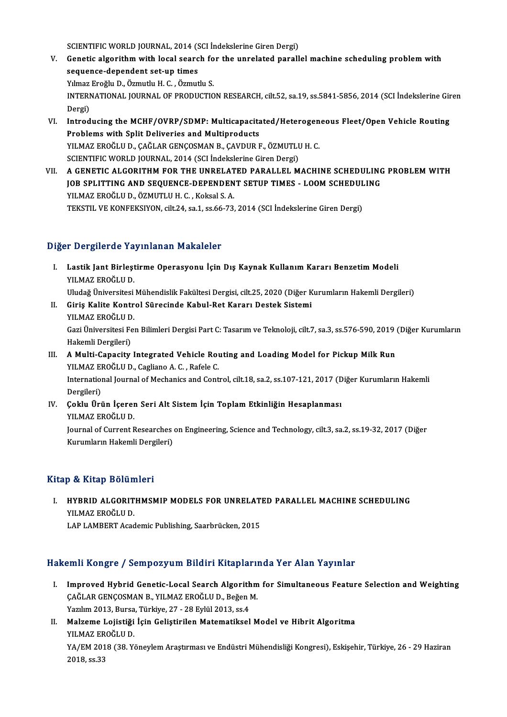SCIENTIFIC WORLD JOURNAL, 2014 (SCI İndekslerine Giren Dergi)<br>Constis alsonithm with local searsh for the unrelated perall

- SCIENTIFIC WORLD JOURNAL, 2014 (SCI İndekslerine Giren Dergi)<br>V. Genetic algorithm with local search for the unrelated parallel machine scheduling problem with SCIENTIFIC WORLD JOURNAL, 2014 (S<br>Genetic algorithm with local searc<br>sequence-dependent set-up times<br>Vilmas Exağlu D. Özmutlu H.C. Özmut Genetic algorithm with local search fo<br>sequence-dependent set-up times<br>Yılmaz Eroğlu D., Özmutlu H. C. , Özmutlu S.<br>INTERNATIONAL JOURNAL OF PRODUCTIO sequence-dependent set-up times<br>Yılmaz Eroğlu D., Özmutlu H. C. , Özmutlu S.<br>INTERNATIONAL JOURNAL OF PRODUCTION RESEARCH, cilt.52, sa.19, ss.5841-5856, 2014 (SCI İndekslerine Giren Yılmaz<br>INTERI<br>Dergi)<br>Introd INTERNATIONAL JOURNAL OF PRODUCTION RESEARCH, cilt.52, sa.19, ss.5841-5856, 2014 (SCI indekslerine Gir<br>Dergi)<br>VI. Introducing the MCHF/OVRP/SDMP: Multicapacitated/Heterogeneous Fleet/Open Vehicle Routing<br>Problems with Spli
- Dergi)<br>Introducing the MCHF/OVRP/SDMP: Multicapacita<br>Problems with Split Deliveries and Multiproducts<br>YU MAZ EROČLU D. CAČLAR CENCOSMAN B. CAVDUR L Introducing the MCHF/OVRP/SDMP: Multicapacitated/Heterogen<br>Problems with Split Deliveries and Multiproducts<br>YILMAZ EROĞLU D., ÇAĞLAR GENÇOSMAN B., ÇAVDUR F., ÖZMUTLU H. C.<br>SCIENTIEIC WOBLD JOUPNAL 2014 (SCLIndekskrine Cire Problems with Split Deliveries and Multiproducts<br>YILMAZ EROĞLU D., ÇAĞLAR GENÇOSMAN B., ÇAVDUR F., ÖZMUTLU H. C.<br>SCIENTIFIC WORLD JOURNAL, 2014 (SCI İndekslerine Giren Dergi) YILMAZ EROĞLU D., ÇAĞLAR GENÇOSMAN B., ÇAVDUR F., ÖZMUTLU H. C.<br>SCIENTIFIC WORLD JOURNAL, 2014 (SCI İndekslerine Giren Dergi)<br>VII. — A GENETIC ALGORITHM FOR THE UNRELATED PARALLEL MACHINE SCHEDULING PROBLEM WITH
- SCIENTIFIC WORLD JOURNAL, 2014 (SCI İndekslerine Giren Dergi)<br>A GENETIC ALGORITHM FOR THE UNRELATED PARALLEL MACHINE SCHEDULING<br>JOB SPLITTING AND SEQUENCE-DEPENDENT SETUP TIMES LOOM SCHEDULING<br>VILMAZ ERQĞLU D. ÖZMUTLU H. A GENETIC ALGORITHM FOR THE UNRELAT<br>JOB SPLITTING AND SEQUENCE-DEPENDEN<br>YILMAZ EROĞLU D., ÖZMUTLU H. C. , Koksal S. A.<br>TEKSTIL VE KONEEKSIYON silt 24, 201, 2066 72. JOB SPLITTING AND SEQUENCE-DEPENDENT SETUP TIMES - LOOM SCHEDULING<br>YILMAZ EROĞLU D., ÖZMUTLU H. C. , Koksal S. A.<br>TEKSTIL VE KONFEKSIYON, cilt.24, sa.1, ss.66-73, 2014 (SCI İndekslerine Giren Dergi)

#### Diğer Dergilerde Yayınlanan Makaleler

- Iğer Dergilerde Yayınlanan Makaleler<br>I. Lastik Jant Birleştirme Operasyonu İçin Dış Kaynak Kullanım Kararı Benzetim Modeli<br>XII MAZ EROĞLU D 1 Dergilerud Tu<br>Lastik Jant Birleşt<br>YILMAZ EROĞLU D. Lastik Jant Birleştirme Operasyonu İçin Dış Kaynak Kullanım Kararı Benzetim Modeli<br>YILMAZ EROĞLU D.<br>Uludağ Üniversitesi Mühendislik Fakültesi Dergisi, cilt.25, 2020 (Diğer Kurumların Hakemli Dergileri)<br>Ciris Kalite Kantrol YILMAZ EROĞLU D.<br>Uludağ Üniversitesi Mühendislik Fakültesi Dergisi, cilt.25, 2020 (Diğer K<br>II. Giriş Kalite Kontrol Sürecinde Kabul-Ret Kararı Destek Sistemi<br>YILMAZ EROĞLU D.
- Uludağ Üniversitesi<br>Giriş Kalite Kontr<br>YILMAZ EROĞLU D.<br>Cari Üniversitesi Fe Giriş Kalite Kontrol Sürecinde Kabul-Ret Kararı Destek Sistemi<br>YILMAZ EROĞLU D.<br>Gazi Üniversitesi Fen Bilimleri Dergisi Part C: Tasarım ve Teknoloji, cilt.7, sa.3, ss.576-590, 2019 (Diğer Kurumların YILMAZ EROĞLU D<br>Gazi Üniversitesi Fe<br>Hakemli Dergileri)<br>A Multi *Conneitu* Gazi Üniversitesi Fen Bilimleri Dergisi Part C: Tasarım ve Teknoloji, cilt.7, sa.3, ss.576-590, 2019<br>Hakemli Dergileri)<br>III. A Multi-Capacity Integrated Vehicle Routing and Loading Model for Pickup Milk Run<br>VII MAZ EROČLU

### Hakemli Dergileri)<br>A Multi-Capacity Integrated Vehicle Rou<br>YILMAZ EROĞLU D., Cagliano A. C. , Rafele C.<br>International Journal of Mechanics and Cont YILMAZ EROĞLU D., Cagliano A. C., Rafele C.

International Journal of Mechanics and Control, cilt.18, sa.2, ss.107-121, 2017 (Diğer Kurumların Hakemli Dergileri) International Journal of Mechanics and Control, cilt.18, sa.2, ss.107-121, 2017 (D<br>Dergileri)<br>IV. Çoklu Ürün İçeren Seri Alt Sistem İçin Toplam Etkinliğin Hesaplanması<br>VII MAZ EROĞLU D

Dergileri)<br>Çoklu Ürün İçerer<br>YILMAZ EROĞLU D.<br>Journal of Current L Çoklu Ürün İçeren Seri Alt Sistem İçin Toplam Etkinliğin Hesaplanması<br>YILMAZ EROĞLU D.<br>Journal of Current Researches on Engineering, Science and Technology, cilt.3, sa.2, ss.19-32, 2017 (Diğer<br>Kurumların Hakamli Dergileri) YILMAZ EROĞLU D.<br>Journal of Current Researches<br>Kurumların Hakemli Dergileri)

# Kurumların Hakemli Dergileri)<br>Kitap & Kitap Bölümleri

Itap & Kitap Bölümleri<br>I. HYBRID ALGORITHMSMIP MODELS FOR UNRELATED PARALLEL MACHINE SCHEDULING<br>XILMAZ EROČLILD *y* & marp Botan<br>HYBRID ALGORIT<br>YILMAZ EROĞLU D.<br>LAB LAMBERT Accd YILMAZ EROĞLU D.<br>LAP LAMBERT Academic Publishing, Saarbrücken, 2015

#### Hakemli Kongre / Sempozyum Bildiri Kitaplarında Yer Alan Yayınlar

- akemli Kongre / Sempozyum Bildiri Kitaplarında Yer Alan Yayınlar<br>I. Improved Hybrid Genetic-Local Search Algorithm for Simultaneous Feature Selection and Weighting<br>CAČLAR CENCOSMAN B. YU MAZ EROČLU D. Božen M EMIT ROLLET JI SEMPOZI UM DRUHT RREPERT.<br>Improved Hybrid Genetic-Local Search Algorithm<br>ÇAĞLAR GENÇOSMAN B., YILMAZ EROĞLU D., Beğen M. Improved Hybrid Genetic-Local Search Algorith<br>ÇAĞLAR GENÇOSMAN B., YILMAZ EROĞLU D., Beğen l<br>Yazılım 2013, Bursa, Türkiye, 27 - 28 Eylül 2013, ss.4<br>Malgame Lojistiži İsin Colistinilen Matematikesl
- ÇAĞLAR GENÇOSMAN B., YILMAZ EROĞLU D., Beğen M.<br>1974 Yazılım 2013, Bursa, Türkiye, 27 28 Eylül 2013, ss.4<br>II. Malzeme Lojistiği İçin Geliştirilen Matematiksel Model ve Hibrit Algoritma<br>1981-YILMAZ EROĞLU D. Yazılım 2013, Bursa<br>Malzeme Lojistiği<br>YILMAZ EROĞLU D.<br>YA*I*FM 2019 (29. V. Malzeme Lojistiği İçin Geliştirilen Matematiksel Model ve Hibrit Algoritma<br>YILMAZ EROĞLU D.<br>YA/EM 2018 (38. Yöneylem Araştırması ve Endüstri Mühendisliği Kongresi), Eskişehir, Türkiye, 26 - 29 Haziran<br>2018 *s*s 22 YILMAZ ER<br>YA/EM 201<br>2018, ss.33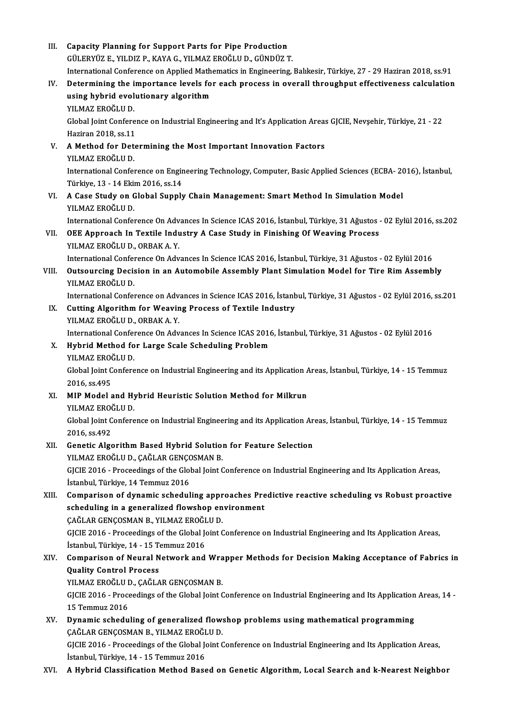III. Capacity Planning for Support Parts for Pipe Production<br>Cill Epyliz F, VII DIZ B, KAVA C, VII MAZ EPOČLIL D, CÜNDÜZ 7 Capacity Planning for Support Parts for Pipe Production<br>GÜLERYÜZ E., YILDIZ P., KAYA G., YILMAZ EROĞLU D., GÜNDÜZ T.<br>International Conference en Annlied Mathematics in Engineering. GÜLERYÜZ E., YILDIZ P., KAYA G., YILMAZ EROĞLU D., GÜNDÜZ T.<br>International Conference on Applied Mathematics in Engineering, Balıkesir, Türkiye, 27 - 29 Haziran 2018, ss.91 GÜLERYÜZ E., YILDIZ P., KAYA G., YILMAZ EROĞLU D., GÜNDÜZ T.<br>International Conference on Applied Mathematics in Engineering, Balıkesir, Türkiye, 27 - 29 Haziran 2018, ss.91<br>IV. Determining the importance levels for each pr International Conference on Applied Math<br>Determining the importance levels fo<br>using hybrid evolutionary algorithm<br>YU MAZ EROČLU D Determining the i<br>using hybrid evol<br>YILMAZ EROĞLU D.<br>Clabal leint Conferg using hybrid evolutionary algorithm<br>YILMAZ EROĞLU D.<br>Global Joint Conference on Industrial Engineering and It's Application Areas GJCIE, Nevşehir, Türkiye, 21 - 22 YILMAZ EROĞLU D.<br>Global Joint Conferen<br>Haziran 2018, ss.11<br>A Method for Dete Global Joint Conference on Industrial Engineering and It's Application Areas<br>Haziran 2018, ss.11<br>V. A Method for Determining the Most Important Innovation Factors<br>VII MAZ EPOČLU D Haziran 2018, ss.11<br>A Method for Det<br>YILMAZ EROĞLU D.<br>International Cenfel A Method for Determining the Most Important Innovation Factors<br>YILMAZ EROĞLU D.<br>International Conference on Engineering Technology, Computer, Basic Applied Sciences (ECBA- 2016), İstanbul,<br>Türkiye 12 - 14 Ekim 2016, 88.14 YILMAZ EROĞLU D.<br>International Conference on Engir<br>Türkiye, 13 - 14 Ekim 2016, ss.14<br>A Case Study on Glabel Sunnlı International Conference on Engineering Technology, Computer, Basic Applied Sciences (ECBA- 20<br>Türkiye, 13 - 14 Ekim 2016, ss.14<br>VI. A Case Study on Global Supply Chain Management: Smart Method In Simulation Model<br>VII MAZ Türkiye, 13 - 14 Ekim 2016, ss.14<br>VI. A Case Study on Global Supply Chain Management: Smart Method In Simulation Model<br>YILMAZ EROĞLU D. A Case Study on Global Supply Chain Management: Smart Method In Simulation Model<br>YILMAZ EROĞLU D.<br>International Conference On Advances In Science ICAS 2016, İstanbul, Türkiye, 31 Ağustos - 02 Eylül 2016, ss.202<br>OEE Annusas VII. OEE Approach In Textile Industry A Case Study in Finishing Of Weaving Process<br>YILMAZ EROĞLU D., ORBAK A.Y. International Conference On Adv<br>OEE Approach In Textile Indu<br>YILMAZ EROĞLU D., ORBAK A. Y.<br>International Conference On Adv InternationalConferenceOnAdvances InScience ICAS2016, İstanbul,Türkiye,31Ağustos -02Eylül2016 YILMAZ EROĞLU D., ORBAK A. Y.<br>International Conference On Advances In Science ICAS 2016, İstanbul, Türkiye, 31 Ağustos - 02 Eylül 2016<br>VIII. Outsourcing Decision in an Automobile Assembly Plant Simulation Model for Tir International Confer<br>Outsourcing Decis<br>YILMAZ EROĞLU D.<br>International Confer Outsourcing Decision in an Automobile Assembly Plant Simulation Model for Tire Rim Assembly<br>YILMAZ EROĞLU D.<br>International Conference on Advances in Science ICAS 2016, İstanbul, Türkiye, 31 Ağustos - 02 Eylül 2016, ss.201<br> YILMAZ EROĞLU D.<br>International Conference on Advances in Science ICAS 2016, İstanb<br>IX. Cutting Algorithm for Weaving Process of Textile Industry<br>YILMAZ EROĞLU D., ORBAK A. Y. International Conference on Advances in Science ICAS 2016, İstanbul, Türkiye, 31 Ağustos - 02 Eylül 2016, ss.201 Cutting Algorithm for Weaving Process of Textile Industry<br>YILMAZ EROĞLU D., ORBAK A. Y.<br>International Conference On Advances In Science ICAS 2016, İstanbul, Türkiye, 31 Ağustos - 02 Eylül 2016<br>Huhrid Method for Large Seele YILMAZ EROĞLU D., ORBAK A. Y.<br>International Conference On Advances In Science ICAS 2016<br>X. Hybrid Method for Large Scale Scheduling Problem<br>VILMAZ EROĞLU D. International Confer<br><mark>Hybrid Method fo</mark><br>YILMAZ EROĞLU D.<br>Clabal Jaint Confere Hybrid Method for Large Scale Scheduling Problem<br>YILMAZ EROĞLU D.<br>Global Joint Conference on Industrial Engineering and its Application Areas, İstanbul, Türkiye, 14 - 15 Temmuz<br>2016.es 405 YILMAZ ERO)<br>Global Joint C<br>2016, ss.495<br>MIP Model c Global Joint Conference on Industrial Engineering and its Application A<br>2016, ss.495<br>XI. MIP Model and Hybrid Heuristic Solution Method for Milkrun<br>XII MAZ EROČULD 2016, ss.495<br>MIP Model and Hy<br>YILMAZ EROĞLU D.<br>Clabal Jaint Canfara MIP Model and Hybrid Heuristic Solution Method for Milkrun<br>YILMAZ EROĞLU D.<br>Global Joint Conference on Industrial Engineering and its Application Areas, İstanbul, Türkiye, 14 - 15 Temmuz<br>2016.es 402 YILMAZ EROÒ<br>Global Joint C<br>2016, ss.492<br>Conotis Alge Global Joint Conference on Industrial Engineering and its Application Ar<br>2016, ss.492<br>XII. Genetic Algorithm Based Hybrid Solution for Feature Selection<br>XII. MAZEROČLUD CAČLAR GENGOSMAN B 2016, ss.492<br>Genetic Algorithm Based Hybrid Solution<br>YILMAZ EROĞLU D., ÇAĞLAR GENÇOSMAN B.<br>CICIE 2016 - Preceedings of the Clabel Joint C Genetic Algorithm Based Hybrid Solution for Feature Selection<br>YILMAZ EROĞLU D., ÇAĞLAR GENÇOSMAN B.<br>GJCIE 2016 - Proceedings of the Global Joint Conference on Industrial Engineering and Its Application Areas,<br>İstanbul Türk YILMAZ EROĞLU D., ÇAĞLAR GENÇC<br>GJCIE 2016 - Proceedings of the Glol<br>İstanbul, Türkiye, 14 Temmuz 2016<br>Camparisan of dunamia sahadul GJCIE 2016 - Proceedings of the Global Joint Conference on Industrial Engineering and Its Application Areas,<br>Istanbul, Türkiye, 14 Temmuz 2016<br>XIII. Comparison of dynamic scheduling approaches Predictive reactive schedulin İstanbul, Türkiye, 14 Temmuz 2016<br>Comparison of dynamic scheduling approaches Pre<br>scheduling in a generalized flowshop environment<br>CAČLAR CENCOSMAN R. YU MAZ EROČLU D Comparison of dynamic scheduling appr<br>scheduling in a generalized flowshop en<br>ÇAĞLAR GENÇOSMAN B., YILMAZ EROĞLU D.<br>CICIE 2016 - Preceedings of the Clebel Joint C scheduling in a generalized flowshop environment<br>CAĞLAR GENÇOSMAN B., YILMAZ EROĞLU D.<br>GJCIE 2016 - Proceedings of the Global Joint Conference on Industrial Engineering and Its Application Areas, ÇAĞLAR GENÇOSMAN B., YILMAZ EROĞI<br>GJCIE 2016 - Proceedings of the Global Jo<br>İstanbul, Türkiye, 14 - 15 Temmuz 2016<br>Comnarison of Nouval Naturark and GJCIE 2016 - Proceedings of the Global Joint Conference on Industrial Engineering and Its Application Areas,<br>İstanbul, Türkiye, 14 - 15 Temmuz 2016<br>XIV. Comparison of Neural Network and Wrapper Methods for Decision Making Istanbul, Türkiye, 14 - 15 T<br>Comparison of Neural N<br>Quality Control Process<br>YU MAZ EROČLU D. CAČLA Comparison of Neural Network and Wra<br>Quality Control Process<br>YILMAZ EROĞLU D., ÇAĞLAR GENÇOSMAN B.<br>CICIE 2016 - Proceedings of the Clabel Joint C Quality Control Process<br>YILMAZ EROĞLU D., ÇAĞLAR GENÇOSMAN B.<br>GJCIE 2016 - Proceedings of the Global Joint Conference on Industrial Engineering and Its Application Areas, 14<br>15 Temmuz 2016 YILMAZ EROĞLU D., ÇAĞLAR GENÇOSMAN B. GJCIE 2016 - Proceedings of the Global Joint Conference on Industrial Engineering and Its Application<br>15 Temmuz 2016<br>XV. Dynamic scheduling of generalized flowshop problems using mathematical programming<br> $CACHAB CENCOSMAN B-VUMAZ EPOCHUN$ 15 Temmuz 2016<br>Dynamic scheduling of generalized flow:<br>ÇAĞLAR GENÇOSMAN B., YILMAZ EROĞLU D.<br>CICIE 2016 - Preceedings of the Glabel Joint G Dynamic scheduling of generalized flowshop problems using mathematical programming<br>ÇAĞLAR GENÇOSMAN B., YILMAZ EROĞLU D.<br>GJCIE 2016 - Proceedings of the Global Joint Conference on Industrial Engineering and Its Application CAĞLAR GENÇOSMAN B., YILMAZ EROĞI<br>GJCIE 2016 - Proceedings of the Global Jo<br>İstanbul, Türkiye, 14 - 15 Temmuz 2016<br>A Hybrid Classifisation Mathod Bass GJCIE 2016 - Proceedings of the Global Joint Conference on Industrial Engineering and Its Application Areas,<br>İstanbul, Türkiye, 14 - 15 Temmuz 2016<br>XVI. A Hybrid Classification Method Based on Genetic Algorithm, Local S